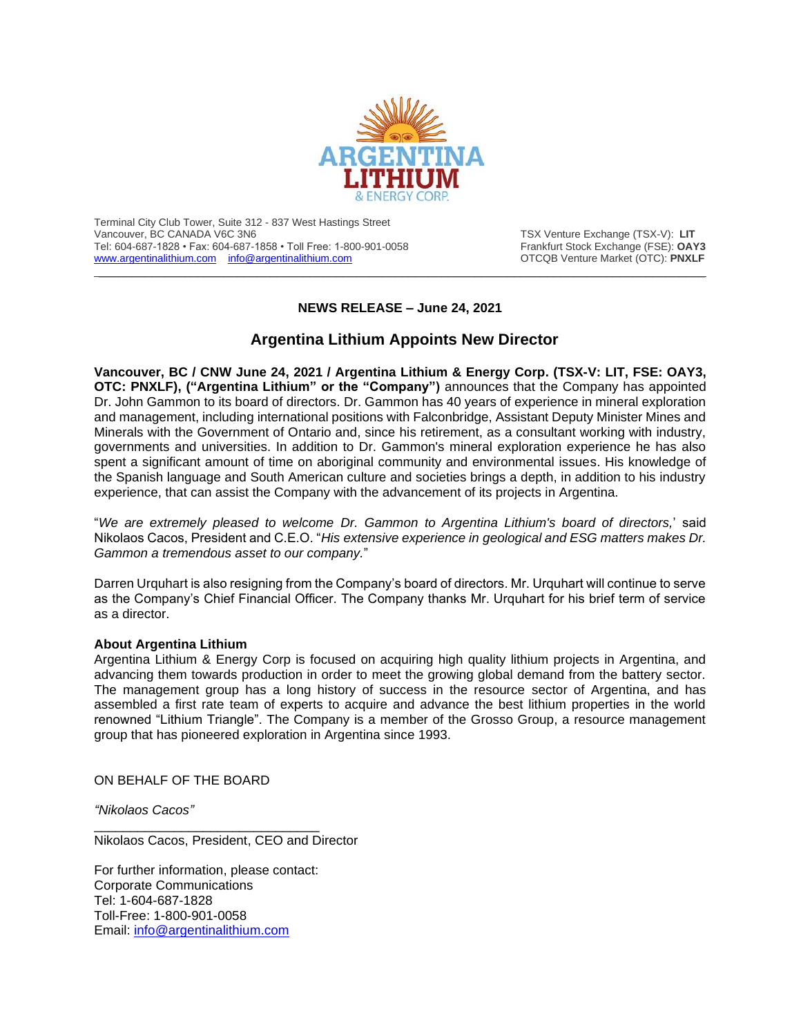

Terminal City Club Tower, Suite 312 - 837 West Hastings Street Vancouver, BC CANADA V6C 3N6<br>Tel: 604-687-1828 • Fax: 604-687-1858 • Toll Free: 1-800-901-0058 Trankfurt Stock Exchange (FSE): **OAY3** Tel: 604-687-1828 • Fax: 604-687-1858 • Toll Free: 1-800-901-0058 Frankfurt Stock Exchange (FSE): **OAY3**<br>www.argentinalithium.com info@argentinalithium.com **Frankfurt Stock Exchange (FSE):** PNXLF [www.argentinalithium.com](http://www.argentinalithium.com/) [info@argentinalithium.com](mailto:info@argentinalithium.com)

## **NEWS RELEASE – June 24, 2021**

 $\_$  , and the state of the state of the state of the state of the state of the state of the state of the state of the state of the state of the state of the state of the state of the state of the state of the state of the

## **Argentina Lithium Appoints New Director**

**Vancouver, BC / CNW June 24, 2021 / Argentina Lithium & Energy Corp. (TSX-V: LIT, FSE: OAY3, OTC: PNXLF), ("Argentina Lithium" or the "Company")** announces that the Company has appointed Dr. John Gammon to its board of directors. Dr. Gammon has 40 years of experience in mineral exploration and management, including international positions with Falconbridge, Assistant Deputy Minister Mines and Minerals with the Government of Ontario and, since his retirement, as a consultant working with industry, governments and universities. In addition to Dr. Gammon's mineral exploration experience he has also spent a significant amount of time on aboriginal community and environmental issues. His knowledge of the Spanish language and South American culture and societies brings a depth, in addition to his industry experience, that can assist the Company with the advancement of its projects in Argentina.

"*We are extremely pleased to welcome Dr. Gammon to Argentina Lithium's board of directors,*' said Nikolaos Cacos, President and C.E.O. "*His extensive experience in geological and ESG matters makes Dr. Gammon a tremendous asset to our company.*"

Darren Urquhart is also resigning from the Company's board of directors. Mr. Urquhart will continue to serve as the Company's Chief Financial Officer. The Company thanks Mr. Urquhart for his brief term of service as a director.

## **About Argentina Lithium**

Argentina Lithium & Energy Corp is focused on acquiring high quality lithium projects in Argentina, and advancing them towards production in order to meet the growing global demand from the battery sector. The management group has a long history of success in the resource sector of Argentina, and has assembled a first rate team of experts to acquire and advance the best lithium properties in the world renowned "Lithium Triangle". The Company is a member of the Grosso Group, a resource management group that has pioneered exploration in Argentina since 1993.

ON BEHALF OF THE BOARD

*"Nikolaos Cacos"*

\_\_\_\_\_\_\_\_\_\_\_\_\_\_\_\_\_\_\_\_\_\_\_\_\_\_\_\_\_\_\_ Nikolaos Cacos, President, CEO and Director

For further information, please contact: Corporate Communications Tel: 1-604-687-1828 Toll-Free: 1-800-901-0058 Email: [info@argentinalithium.com](mailto:info@argentinalithium.com)